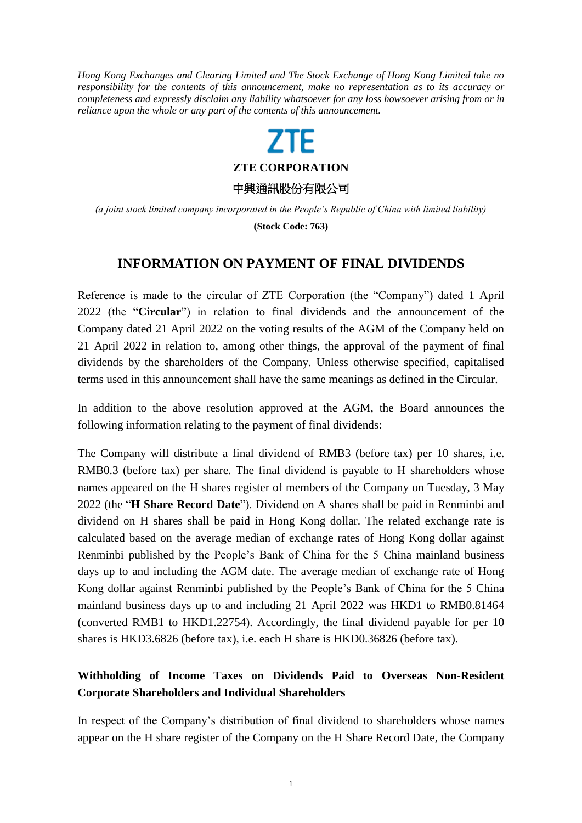*Hong Kong Exchanges and Clearing Limited and The Stock Exchange of Hong Kong Limited take no responsibility for the contents of this announcement, make no representation as to its accuracy or completeness and expressly disclaim any liability whatsoever for any loss howsoever arising from or in reliance upon the whole or any part of the contents of this announcement.*

## **ZTE**

**ZTE CORPORATION**

中興通訊股份有限公司

*(a joint stock limited company incorporated in the People's Republic of China with limited liability)*

**(Stock Code: 763)**

## **INFORMATION ON PAYMENT OF FINAL DIVIDENDS**

Reference is made to the circular of ZTE Corporation (the "Company") dated 1 April 2022 (the "**Circular**") in relation to final dividends and the announcement of the Company dated 21 April 2022 on the voting results of the AGM of the Company held on 21 April 2022 in relation to, among other things, the approval of the payment of final dividends by the shareholders of the Company. Unless otherwise specified, capitalised terms used in this announcement shall have the same meanings as defined in the Circular.

In addition to the above resolution approved at the AGM, the Board announces the following information relating to the payment of final dividends:

The Company will distribute a final dividend of RMB3 (before tax) per 10 shares, i.e. RMB0.3 (before tax) per share. The final dividend is payable to H shareholders whose names appeared on the H shares register of members of the Company on Tuesday, 3 May 2022 (the "**H Share Record Date**"). Dividend on A shares shall be paid in Renminbi and dividend on H shares shall be paid in Hong Kong dollar. The related exchange rate is calculated based on the average median of exchange rates of Hong Kong dollar against Renminbi published by the People's Bank of China for the 5 China mainland business days up to and including the AGM date. The average median of exchange rate of Hong Kong dollar against Renminbi published by the People's Bank of China for the 5 China mainland business days up to and including 21 April 2022 was HKD1 to RMB0.81464 (converted RMB1 to HKD1.22754). Accordingly, the final dividend payable for per 10 shares is HKD3.6826 (before tax), i.e. each H share is HKD0.36826 (before tax).

## **Withholding of Income Taxes on Dividends Paid to Overseas Non-Resident Corporate Shareholders and Individual Shareholders**

In respect of the Company's distribution of final dividend to shareholders whose names appear on the H share register of the Company on the H Share Record Date, the Company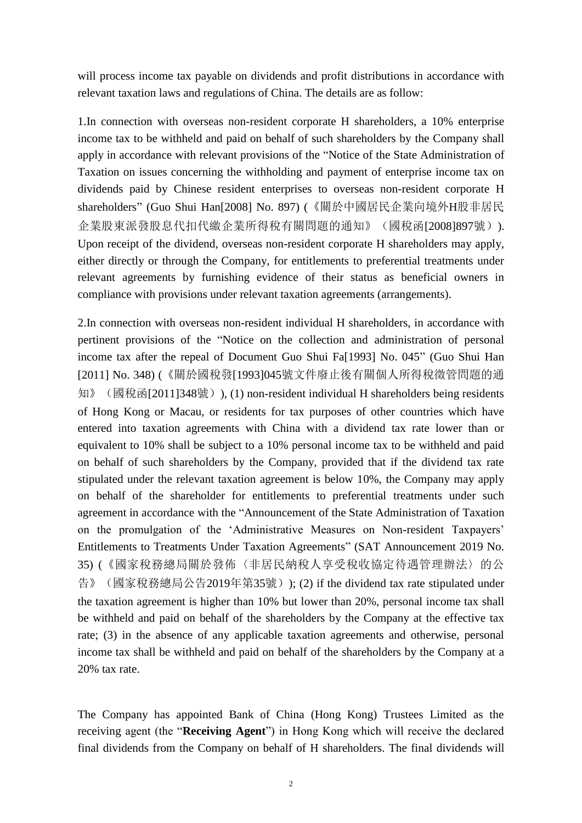will process income tax payable on dividends and profit distributions in accordance with relevant taxation laws and regulations of China. The details are as follow:

1.In connection with overseas non-resident corporate H shareholders, a 10% enterprise income tax to be withheld and paid on behalf of such shareholders by the Company shall apply in accordance with relevant provisions of the "Notice of the State Administration of Taxation on issues concerning the withholding and payment of enterprise income tax on dividends paid by Chinese resident enterprises to overseas non-resident corporate H shareholders" (Guo Shui Han[2008] No. 897) (《關於中國居民企業向境外H股非居民 企業股東派發股息代扣代繳企業所得稅有關問題的通知》(國稅函[2008]897號)). Upon receipt of the dividend, overseas non-resident corporate H shareholders may apply, either directly or through the Company, for entitlements to preferential treatments under relevant agreements by furnishing evidence of their status as beneficial owners in compliance with provisions under relevant taxation agreements (arrangements).

2.In connection with overseas non-resident individual H shareholders, in accordance with pertinent provisions of the "Notice on the collection and administration of personal income tax after the repeal of Document Guo Shui Fa[1993] No. 045" (Guo Shui Han [2011] No. 348) (《關於國稅發[1993]045號文件廢止後有關個人所得稅徵管問題的通 知》(國稅函[2011]348號)), (1) non-resident individual H shareholders being residents of Hong Kong or Macau, or residents for tax purposes of other countries which have entered into taxation agreements with China with a dividend tax rate lower than or equivalent to 10% shall be subject to a 10% personal income tax to be withheld and paid on behalf of such shareholders by the Company, provided that if the dividend tax rate stipulated under the relevant taxation agreement is below 10%, the Company may apply on behalf of the shareholder for entitlements to preferential treatments under such agreement in accordance with the "Announcement of the State Administration of Taxation on the promulgation of the 'Administrative Measures on Non-resident Taxpayers' Entitlements to Treatments Under Taxation Agreements" (SAT Announcement 2019 No. 35) (《國家稅務總局關於發佈〈非居民納稅人享受稅收協定待遇管理辦法〉的公 告》(國家稅務總局公告2019年第35號)); (2) if the dividend tax rate stipulated under the taxation agreement is higher than 10% but lower than 20%, personal income tax shall be withheld and paid on behalf of the shareholders by the Company at the effective tax rate; (3) in the absence of any applicable taxation agreements and otherwise, personal income tax shall be withheld and paid on behalf of the shareholders by the Company at a 20% tax rate.

The Company has appointed Bank of China (Hong Kong) Trustees Limited as the receiving agent (the "**Receiving Agent**") in Hong Kong which will receive the declared final dividends from the Company on behalf of H shareholders. The final dividends will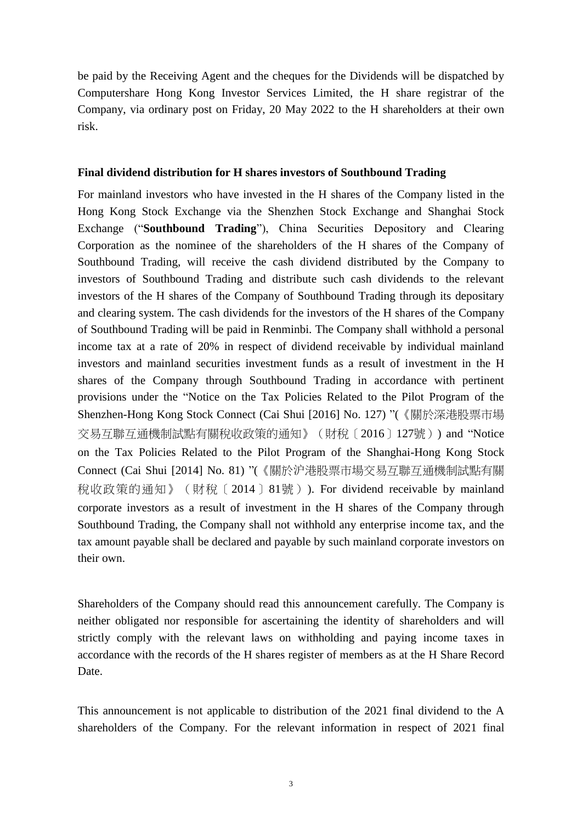be paid by the Receiving Agent and the cheques for the Dividends will be dispatched by Computershare Hong Kong Investor Services Limited, the H share registrar of the Company, via ordinary post on Friday, 20 May 2022 to the H shareholders at their own risk.

## **Final dividend distribution for H shares investors of Southbound Trading**

For mainland investors who have invested in the H shares of the Company listed in the Hong Kong Stock Exchange via the Shenzhen Stock Exchange and Shanghai Stock Exchange ("**Southbound Trading**"), China Securities Depository and Clearing Corporation as the nominee of the shareholders of the H shares of the Company of Southbound Trading, will receive the cash dividend distributed by the Company to investors of Southbound Trading and distribute such cash dividends to the relevant investors of the H shares of the Company of Southbound Trading through its depositary and clearing system. The cash dividends for the investors of the H shares of the Company of Southbound Trading will be paid in Renminbi. The Company shall withhold a personal income tax at a rate of 20% in respect of dividend receivable by individual mainland investors and mainland securities investment funds as a result of investment in the H shares of the Company through Southbound Trading in accordance with pertinent provisions under the "Notice on the Tax Policies Related to the Pilot Program of the Shenzhen-Hong Kong Stock Connect (Cai Shui [2016] No. 127) "(《關於深港股票市場 交易互聯互通機制試點有關稅收政策的通知》(財稅〔2016〕127號)) and "Notice on the Tax Policies Related to the Pilot Program of the Shanghai-Hong Kong Stock Connect (Cai Shui [2014] No. 81) "(《關於沪港股票市場交易互聯互通機制試點有關 稅收政策的通知》(財稅〔2014〕81號)). For dividend receivable by mainland corporate investors as a result of investment in the H shares of the Company through Southbound Trading, the Company shall not withhold any enterprise income tax, and the tax amount payable shall be declared and payable by such mainland corporate investors on their own.

Shareholders of the Company should read this announcement carefully. The Company is neither obligated nor responsible for ascertaining the identity of shareholders and will strictly comply with the relevant laws on withholding and paying income taxes in accordance with the records of the H shares register of members as at the H Share Record Date.

This announcement is not applicable to distribution of the 2021 final dividend to the A shareholders of the Company. For the relevant information in respect of 2021 final